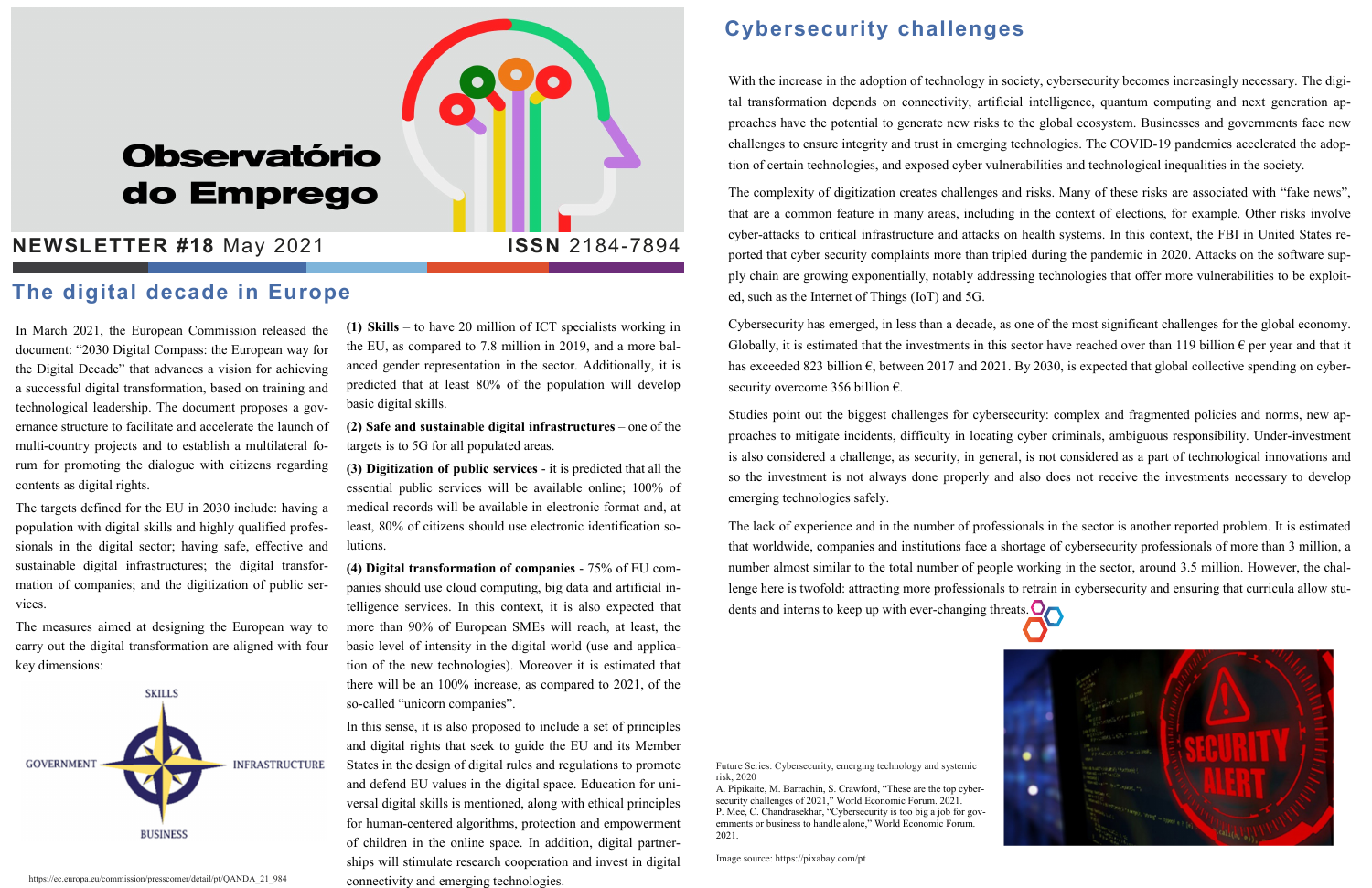# **Observatório** do Emprego

### **NEWSLETTER #18 May 2021 1SSN 2184-7894**

In March 2021, the European Commission released the document: "2030 Digital Compass: the European way for the Digital Decade" that advances a vision for achieving a successful digital transformation, based on training and technological leadership. The document proposes a governance structure to facilitate and accelerate the launch of multi-country projects and to establish a multilateral forum for promoting the dialogue with citizens regarding contents as digital rights.

The targets defined for the EU in 2030 include: having a population with digital skills and highly qualified professionals in the digital sector; having safe, effective and sustainable digital infrastructures; the digital transformation of companies; and the digitization of public services.

The measures aimed at designing the European way to carry out the digital transformation are aligned with four key dimensions:



(1) Skills – to have 20 million of ICT specialists working in the EU, as compared to 7.8 million in 2019, and a more balanced gender representation in the sector. Additionally, it is predicted that at least 80% of the population will develop basic digital skills.

(2) Safe and sustainable digital infrastructures – one of the targets is to 5G for all populated areas.

(3) Digitization of public services - it is predicted that all the essential public services will be available online; 100% of medical records will be available in electronic format and, at least, 80% of citizens should use electronic identification solutions.

(4) Digital transformation of companies - 75% of EU companies should use cloud computing, big data and artificial intelligence services. In this context, it is also expected that more than 90% of European SMEs will reach, at least, the basic level of intensity in the digital world (use and application of the new technologies). Moreover it is estimated that there will be an 100% increase, as compared to 2021, of the so-called "unicorn companies".

Cybersecurity has emerged, in less than a decade, as one of the most significant challenges for the global economy. Globally, it is estimated that the investments in this sector have reached over than 119 billion  $\epsilon$  per year and that it has exceeded 823 billion €, between 2017 and 2021. By 2030, is expected that global collective spending on cybersecurity overcome 356 billion  $\epsilon$ .

In this sense, it is also proposed to include a set of principles and digital rights that seek to guide the EU and its Member States in the design of digital rules and regulations to promote and defend EU values in the digital space. Education for universal digital skills is mentioned, along with ethical principles for human-centered algorithms, protection and empowerment of children in the online space. In addition, digital partnerships will stimulate research cooperation and invest in digital connectivity and emerging technologies.

The lack of experience and in the number of professionals in the sector is another reported problem. It is estimated that worldwide, companies and institutions face a shortage of cybersecurity professionals of more than 3 million, a number almost similar to the total number of people working in the sector, around 3.5 million. However, the challenge here is twofold: attracting more professionals to retrain in cybersecurity and ensuring that curricula allow students and interns to keep up with ever-changing threats.

#### Cybersecurity challenges

With the increase in the adoption of technology in society, cybersecurity becomes increasingly necessary. The digital transformation depends on connectivity, artificial intelligence, quantum computing and next generation approaches have the potential to generate new risks to the global ecosystem. Businesses and governments face new challenges to ensure integrity and trust in emerging technologies. The COVID-19 pandemics accelerated the adoption of certain technologies, and exposed cyber vulnerabilities and technological inequalities in the society.

The complexity of digitization creates challenges and risks. Many of these risks are associated with "fake news", that are a common feature in many areas, including in the context of elections, for example. Other risks involve cyber-attacks to critical infrastructure and attacks on health systems. In this context, the FBI in United States reported that cyber security complaints more than tripled during the pandemic in 2020. Attacks on the software supply chain are growing exponentially, notably addressing technologies that offer more vulnerabilities to be exploited, such as the Internet of Things (IoT) and 5G.

Studies point out the biggest challenges for cybersecurity: complex and fragmented policies and norms, new approaches to mitigate incidents, difficulty in locating cyber criminals, ambiguous responsibility. Under-investment is also considered a challenge, as security, in general, is not considered as a part of technological innovations and so the investment is not always done properly and also does not receive the investments necessary to develop emerging technologies safely.

#### The digital decade in Europe

Image source: https://pixabay.com/pt





https://ec.europa.eu/commission/presscorner/detail/pt/QANDA\_21\_984

Future Series: Cybersecurity, emerging technology and systemic risk, 2020

A. Pipikaite, M. Barrachin, S. Crawford, "These are the top cybersecurity challenges of 2021," World Economic Forum. 2021. P. Mee, C. Chandrasekhar, "Cybersecurity is too big a job for governments or business to handle alone," World Economic Forum. 2021.